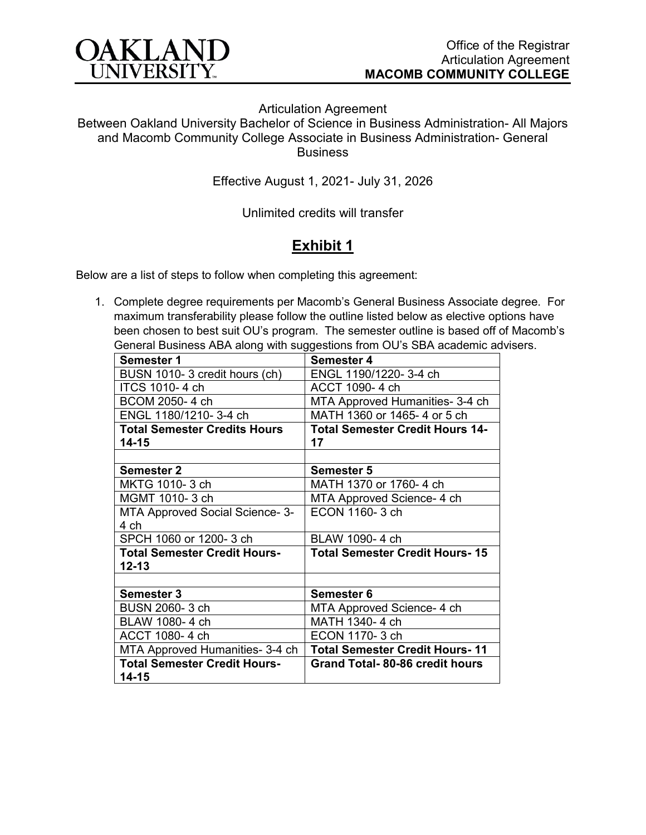

Articulation Agreement

Between Oakland University Bachelor of Science in Business Administration- All Majors and Macomb Community College Associate in Business Administration- General **Business** 

Effective August 1, 2021- July 31, 2026

Unlimited credits will transfer

## **Exhibit 1**

Below are a list of steps to follow when completing this agreement:

1. Complete degree requirements per Macomb's General Business Associate degree. For maximum transferability please follow the outline listed below as elective options have been chosen to best suit OU's program. The semester outline is based off of Macomb's General Business ABA along with suggestions from OU's SBA academic advisers.

| <b>Semester 1</b>                   | <b>Semester 4</b>                      |
|-------------------------------------|----------------------------------------|
| BUSN 1010-3 credit hours (ch)       | ENGL 1190/1220-3-4 ch                  |
| ITCS 1010-4 ch                      | ACCT 1090-4 ch                         |
| BCOM 2050-4 ch                      | MTA Approved Humanities- 3-4 ch        |
| ENGL 1180/1210-3-4 ch               | MATH 1360 or 1465-4 or 5 ch            |
| <b>Total Semester Credits Hours</b> | <b>Total Semester Credit Hours 14-</b> |
| 14-15                               | 17                                     |
|                                     |                                        |
| <b>Semester 2</b>                   | <b>Semester 5</b>                      |
| MKTG 1010-3 ch                      | MATH 1370 or 1760-4 ch                 |
| MGMT 1010-3 ch                      | MTA Approved Science- 4 ch             |
| MTA Approved Social Science- 3-     | ECON 1160-3 ch                         |
| 4 ch                                |                                        |
| SPCH 1060 or 1200-3 ch              | BLAW 1090-4 ch                         |
| <b>Total Semester Credit Hours-</b> | <b>Total Semester Credit Hours-15</b>  |
| 12-13                               |                                        |
|                                     |                                        |
| <b>Semester 3</b>                   | <b>Semester 6</b>                      |
| BUSN 2060-3 ch                      | MTA Approved Science- 4 ch             |
| BLAW 1080-4 ch                      | MATH 1340-4 ch                         |
| ACCT 1080-4 ch                      | ECON 1170-3 ch                         |
| MTA Approved Humanities- 3-4 ch     | <b>Total Semester Credit Hours-11</b>  |
| <b>Total Semester Credit Hours-</b> | Grand Total-80-86 credit hours         |
| 14-15                               |                                        |